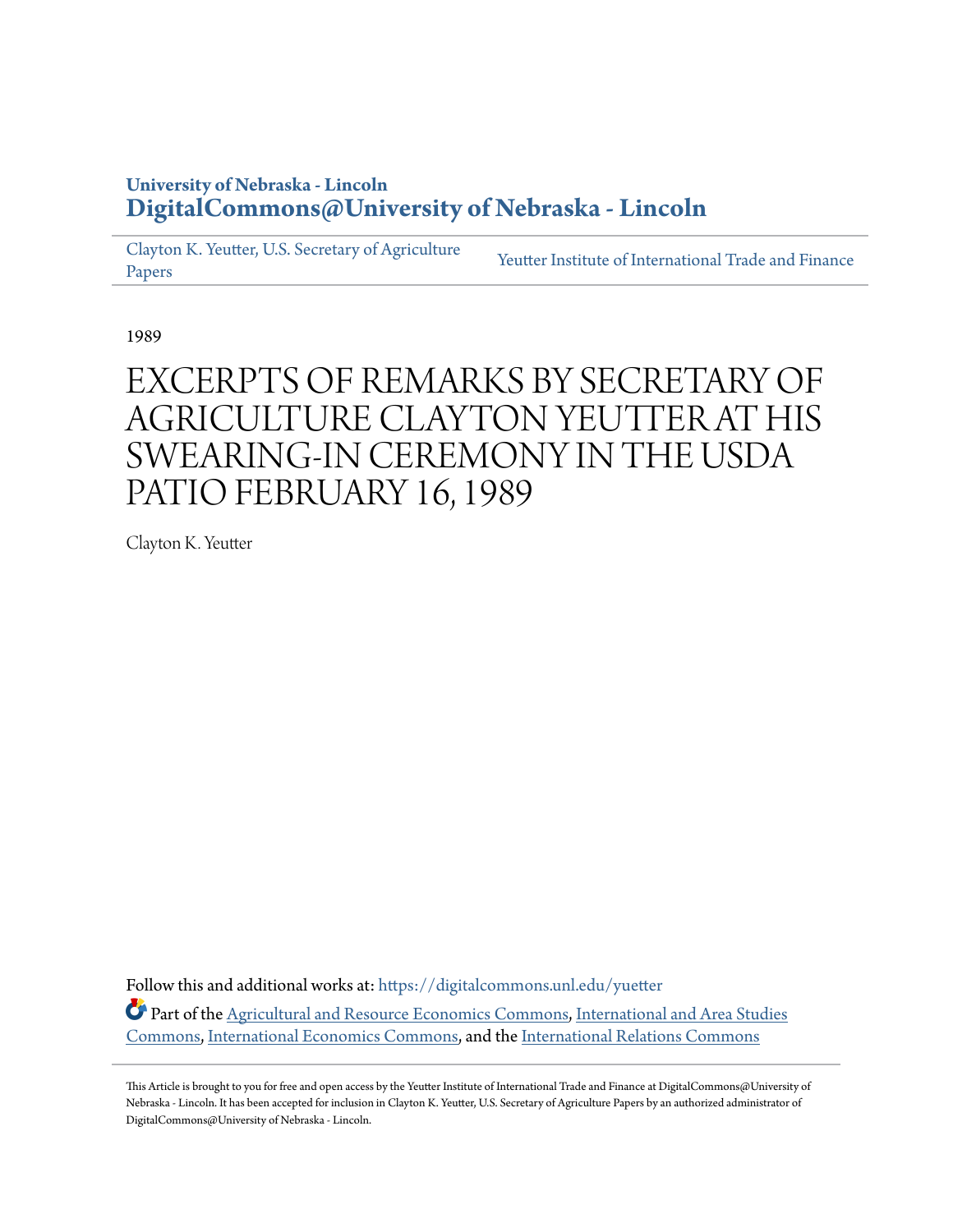## **University of Nebraska - Lincoln [DigitalCommons@University of Nebraska - Lincoln](https://digitalcommons.unl.edu?utm_source=digitalcommons.unl.edu%2Fyuetter%2F14&utm_medium=PDF&utm_campaign=PDFCoverPages)**

[Clayton K. Yeutter, U.S. Secretary of Agriculture](https://digitalcommons.unl.edu/yuetter?utm_source=digitalcommons.unl.edu%2Fyuetter%2F14&utm_medium=PDF&utm_campaign=PDFCoverPages) [Papers](https://digitalcommons.unl.edu/yuetter?utm_source=digitalcommons.unl.edu%2Fyuetter%2F14&utm_medium=PDF&utm_campaign=PDFCoverPages)

[Yeutter Institute of International Trade and Finance](https://digitalcommons.unl.edu/yiitf?utm_source=digitalcommons.unl.edu%2Fyuetter%2F14&utm_medium=PDF&utm_campaign=PDFCoverPages)

1989

## EXCERPTS OF REMARKS BY SECRETARY OF AGRICULTURE CLAYTON YEUTTER AT HIS SWEARING-IN CEREMONY IN THE USDA PATIO FEBRUARY 16, 1989

Clayton K. Yeutter

Follow this and additional works at: [https://digitalcommons.unl.edu/yuetter](https://digitalcommons.unl.edu/yuetter?utm_source=digitalcommons.unl.edu%2Fyuetter%2F14&utm_medium=PDF&utm_campaign=PDFCoverPages)

Part of the [Agricultural and Resource Economics Commons](http://network.bepress.com/hgg/discipline/317?utm_source=digitalcommons.unl.edu%2Fyuetter%2F14&utm_medium=PDF&utm_campaign=PDFCoverPages), [International and Area Studies](http://network.bepress.com/hgg/discipline/360?utm_source=digitalcommons.unl.edu%2Fyuetter%2F14&utm_medium=PDF&utm_campaign=PDFCoverPages) [Commons,](http://network.bepress.com/hgg/discipline/360?utm_source=digitalcommons.unl.edu%2Fyuetter%2F14&utm_medium=PDF&utm_campaign=PDFCoverPages) [International Economics Commons,](http://network.bepress.com/hgg/discipline/348?utm_source=digitalcommons.unl.edu%2Fyuetter%2F14&utm_medium=PDF&utm_campaign=PDFCoverPages) and the [International Relations Commons](http://network.bepress.com/hgg/discipline/389?utm_source=digitalcommons.unl.edu%2Fyuetter%2F14&utm_medium=PDF&utm_campaign=PDFCoverPages)

This Article is brought to you for free and open access by the Yeutter Institute of International Trade and Finance at DigitalCommons@University of Nebraska - Lincoln. It has been accepted for inclusion in Clayton K. Yeutter, U.S. Secretary of Agriculture Papers by an authorized administrator of DigitalCommons@University of Nebraska - Lincoln.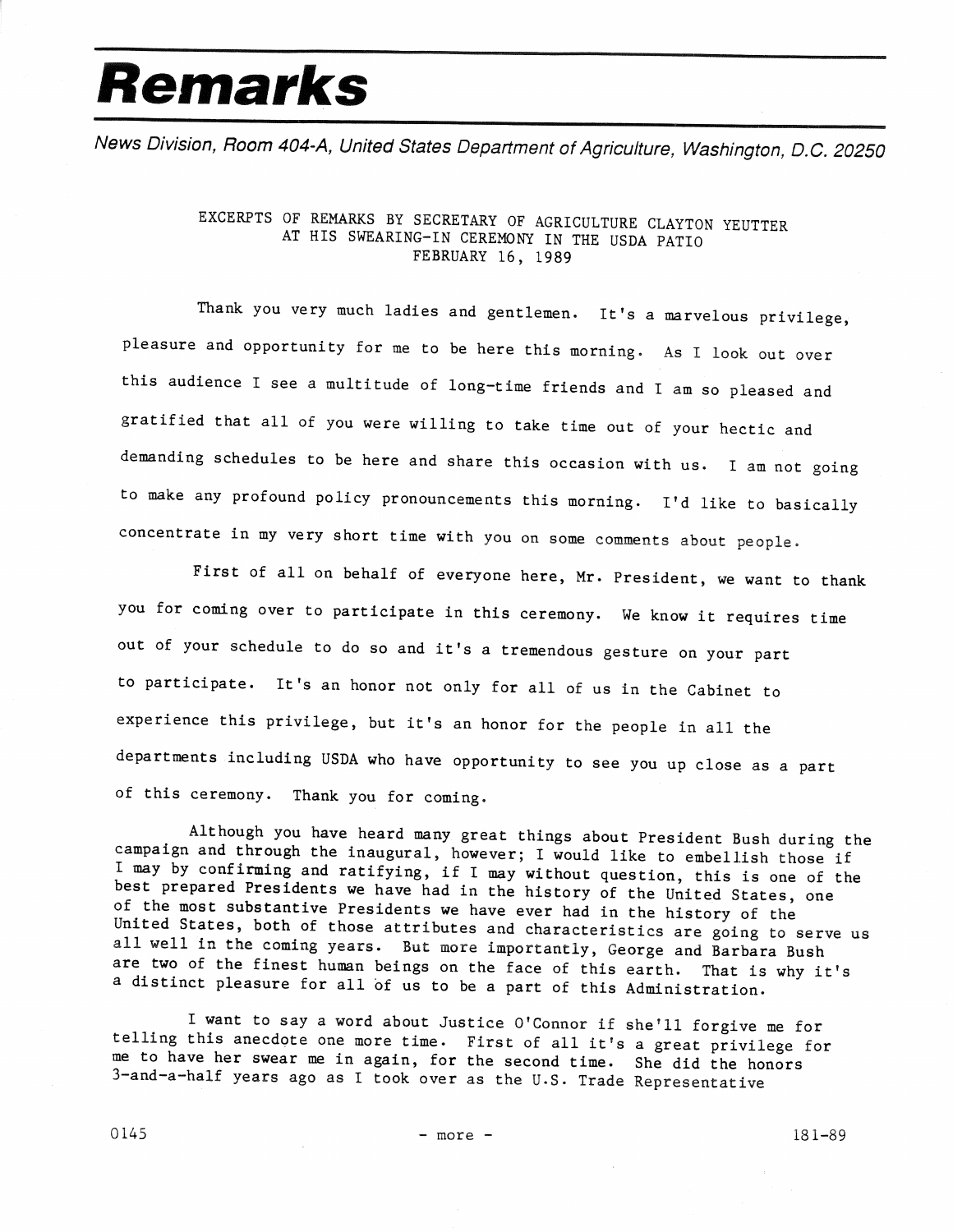## **Remarks**

News Division, Room 404-A, United States Department of Agriculture, Washington, D.C. 20250

## EXCERPTS OF REMARKS BY SECRETARY OF AGRICULTURE CLAYTON YEUTTER AT HIS SWEARING-IN CEREMONY IN THE USDA PATIO FEBRUARY 16, 1989

Thank you very much ladies and gentlemen. It's a marvelous privilege, pleasure and opportunity for me to be here this morning. As I look out over this audience I see a multitude of long-time friends and I am so pleased and gratified that all of you were willing to take time out of your hectic and demanding schedules to be here and share this occasion with us. I am not going to make any profound policy pronouncements this morning. I'd like to basically concentrate in my very short time with you on some comments about people.

First of all on behalf of everyone here, Mr. President, we want to thank you for coming over to participate in this ceremony. We know it requires time out of your schedule to do so and it's a tremendous gesture on your part to participate. It's an honor not only for all of us in the Cabinet to experience this privilege, but it's an honor for the people in all the departments including USDA who have opportunity to see you up close as a part of this ceremony. Thank you for coming.

Although you have heard many great things about President Bush during the campaign and through the inaugural, however; I would like to embellish those if I may by confirming and ratifying, if I may without question, this is one of the best prepared Presidents we have had in the history of the United States, one of the most substantive Presidents we have ever had in the history of the United States, both of those attributes and characteristics are going to serve us all well in the coming years. But more importantly, George and Barbara Bush are two of the finest human beings on the face of this earth. That is why it's a distinct pleasure for all of us to be a part of this Administration.

I want to say a word about Justice O'Connor if she'll forgive me for telling this anecdote one more time. First of all it's a great privilege for me to have her swear me in again, for the second time. She did the honors 3-and-a-half years ago as I took over as the U.S. Trade Representative

 $145$  - more - 181-89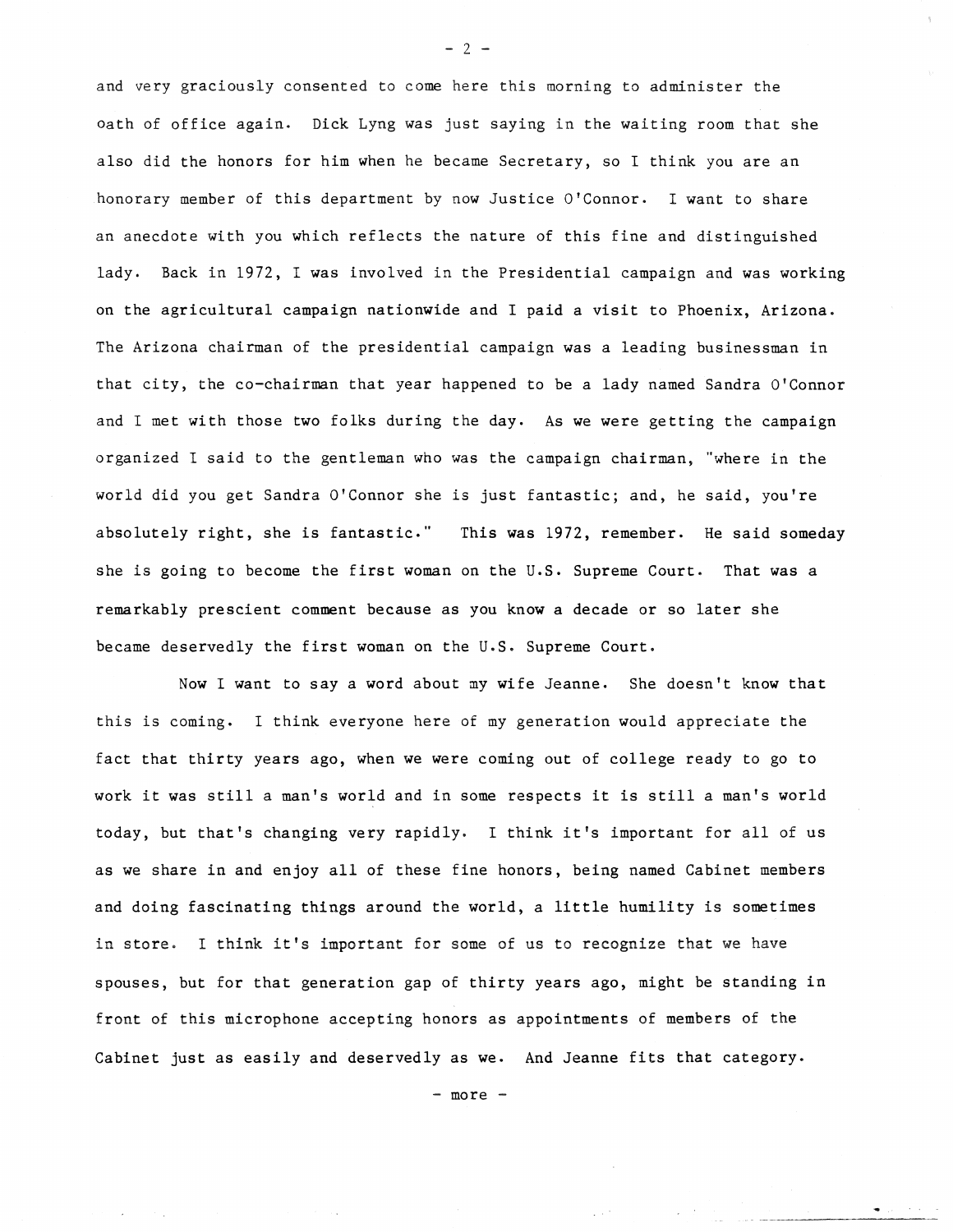and very graciously consented to come here this morning to administer the oath of office again. Dick Lyng was just saying in the waiting room that she also did the honors for him when he became Secretary, so I think you are an honorary member of this department by now Justice O'Connor. I want to share an anecdote with you which reflects the nature of this fine and distinguished lady. Back in 1972, I was involved in the Presidential campaign and was working on the agricultural campaign nationwide and I paid a visit to Phoenix, Arizona. The Arizona chairman of the presidential campaign was a leading businessman in that city, the co-chairman that year happened to be a lady named Sandra O'Connor and I met with those two folks during the day. As we were getting the campaign organized I said to the gentleman who was the campaign chairman, "where in the world did you get Sandra O'Connor she is just fantastic; and, he said, you're absolutely right, she is fantastic." This was 1972, remember. He said someday she is going to become the first woman on the U.S. Supreme Court. That was a remarkably prescient comment because as you know a decade or so later she became deservedly the first woman on the U.S. Supreme Court.

Now I want to say a word about my wife Jeanne. She doesn't know that this is coming. I think everyone here of my generation would appreciate the fact that thirty years ago, when we were coming out of college ready to go to work it was still a man's world and in some respects it is still a man's world today, but that's changing very rapidly. I think it's important for all of us as we share in and enjoy all of these fine honors, being named Cabinet members and doing fascinating things around the world, a little humility is sometimes in store. I think it's important for some of us to recognize that we have spouses, but for that generation gap of thirty years ago, might be standing in front of this microphone accepting honors as appointments of members of the Cabinet just as easily and deservedly as we. And Jeanne fits that category.

 $2<sup>-2</sup>$ 

- more -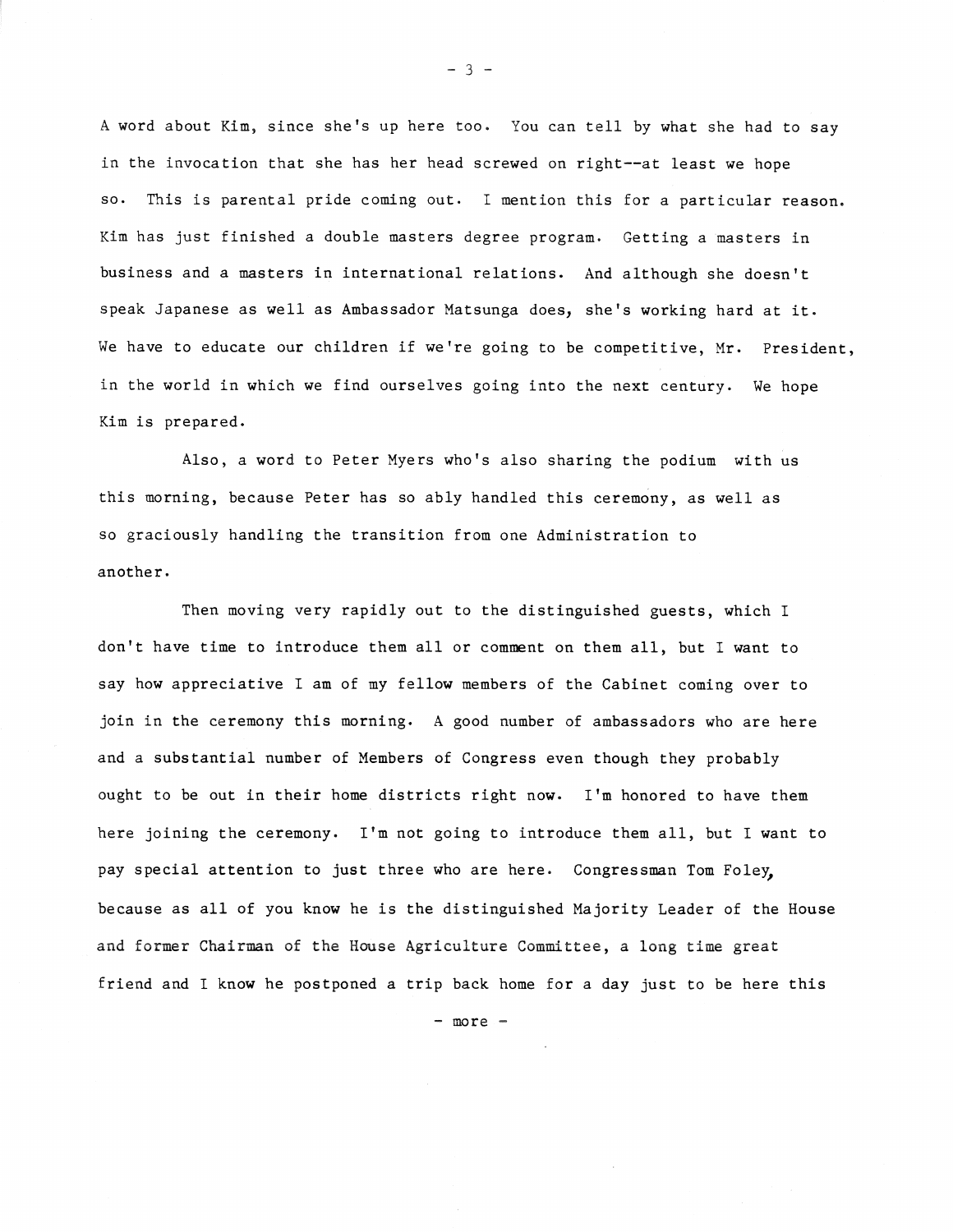A word about Kim, since she's up here too. You can tell by what she had to say in the invocation that she has her head screwed on right--at least we hope so. This is parental pride coming out. I mention this for a particular reason. Kim has just finished a double masters degree program. Getting a masters in business and a masters in international relations. And although she doesn't speak Japanese as well as Ambassador Matsunga does, she's working hard at it. We have to educate our children if we're going to be competitive, Mr. President, in the world in which we find ourselves going into the next century. We hope Kim is prepared.

Also, a word to Peter Myers who's also sharing the podium with us this morning, because Peter has so ably handled this ceremony, as well as so graciously handling the transition from one Administration to another.

Then moving very rapidly out to the distinguished guests, which I don't have time to introduce them all or comment on them all, but I want to say how appreciative I am of my fellow members of the Cabinet coming over to join in the ceremony this morning. A good number of ambassadors who are here and a substantial number of Members of Congress even though they probably ought to be out in their home districts right now. I'm honored to have them here joining the ceremony. I'm not going to introduce them all, but I want to pay special attention to just three who are here. Congressman Tom Foley, because as all of you know he is the distinguished Majority Leader of the House and former Chairman of the House Agriculture Committee, a long time great friend and I know he postponed a trip back home for a day just to be here this

- more -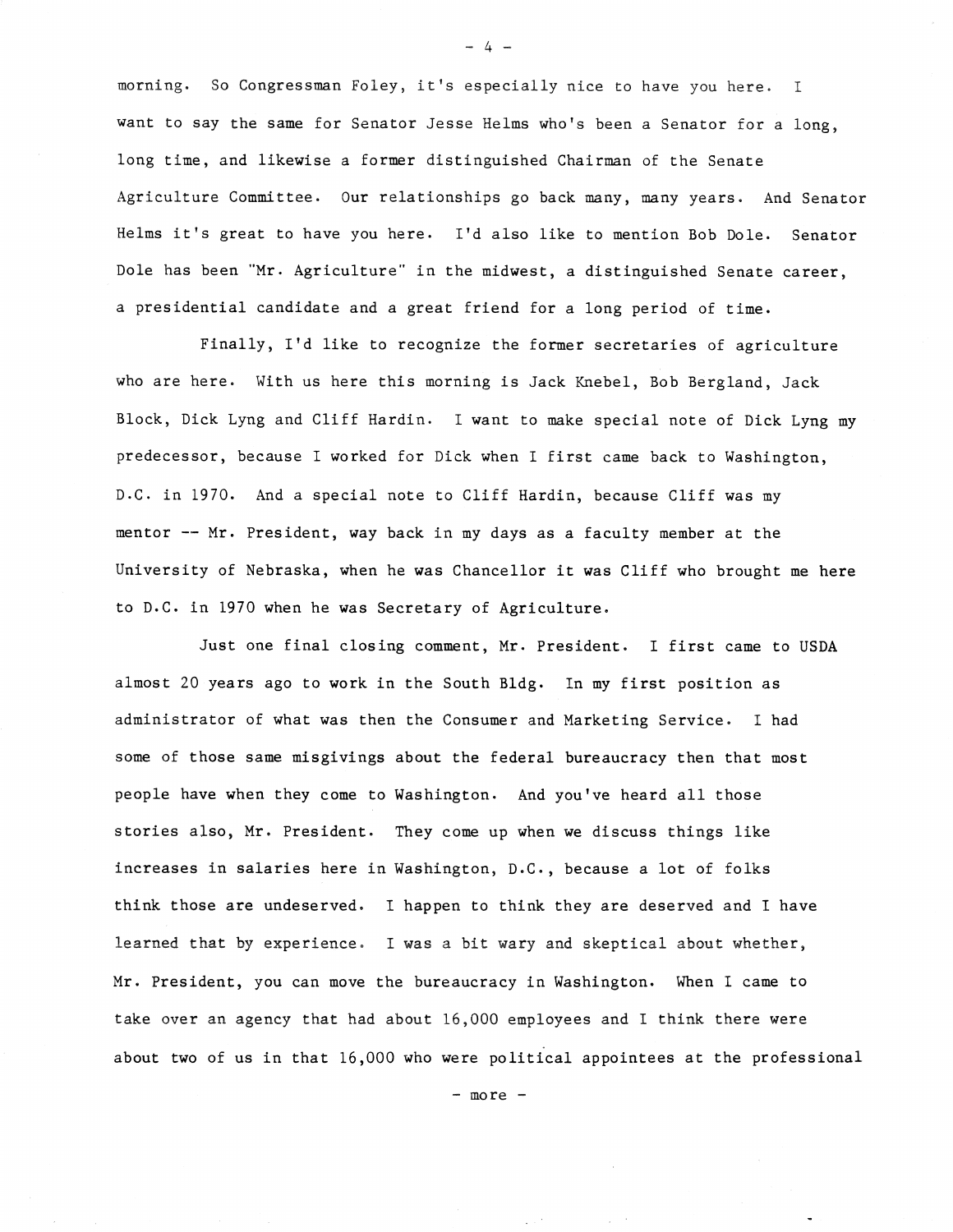morning. So Congressman Foley, it's especially nice to have you here. I want to say the same for Senator Jesse Helms who's been a Senator for a long, long time, and likewise a former distinguished Chairman of the Senate Agriculture Committee. Our relationships go back many, many years. And Senator Helms it's great to have you here. I'd also like to mention Bob Dole. Senator Dole has been "Mr. Agriculture" in the midwest, a distinguished Senate career, a presidential candidate and a great friend for a long period of time.

Finally, I'd like to recognize the former secretaries of agriculture who are here. With us here this morning is Jack Knebel, Bob Bergland, Jack Block, Dick Lyng and Cliff Hardin. I want to make special note of Dick Lyng my predecessor, because I worked for Dick when I first came back to Washington, D.C. in 1970. And a special note to Cliff Hardin, because Cliff was my mentor -- Mr. President, way back in my days as a faculty member at the University of Nebraska, when he was Chancellor it was Cliff who brought me here to D.C. in 1970 when he was Secretary of Agriculture.

Just one final closing comment, Mr. President. I first came to USDA almost 20 years ago to work in the South Bldg. In my first position as administrator of what was then the Consumer and Marketing Service. I had some of those same misgivings about the federal bureaucracy then that most people have when they come to Washington. And you've heard all those stories also, Mr. President. They come up when we discuss things like increases in salaries here in Washington, D.C., because a lot of folks think those are undeserved. I happen to think they are deserved and I have learned that by experience. I was a bit wary and skeptical about whether, Mr. President, you can move the bureaucracy in Washington. When I came to take over an agency that had about 16,000 employees and I think there were about two of us in that 16,000 who were political appointees at the professional

- more -

 $\sqrt{10}$ 

 $-4 -$